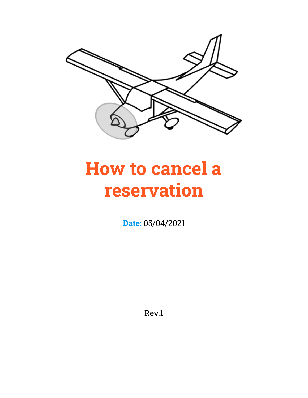

## **How to cancel a reservation**

**Date:** 05/04/2021

Rev.1